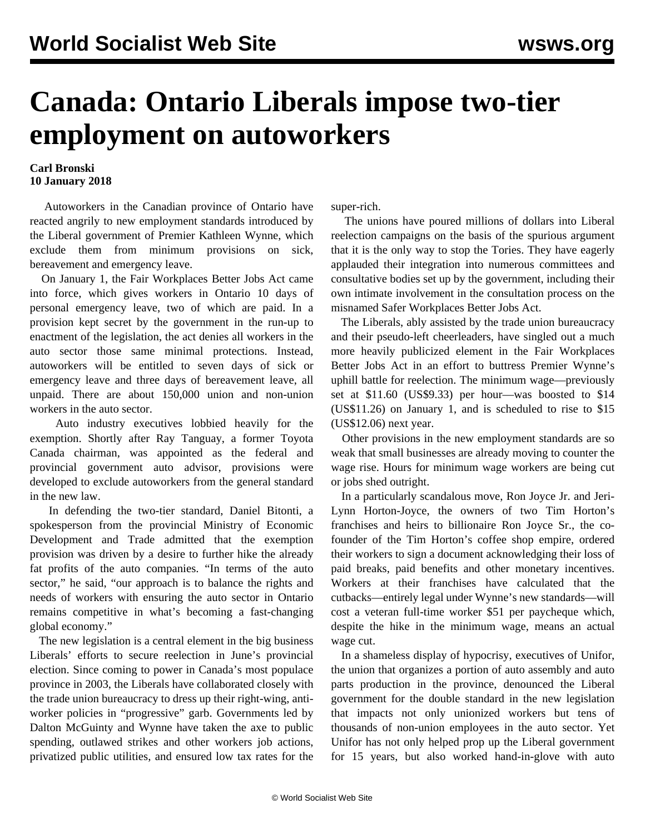## **Canada: Ontario Liberals impose two-tier employment on autoworkers**

## **Carl Bronski 10 January 2018**

 Autoworkers in the Canadian province of Ontario have reacted angrily to new employment standards introduced by the Liberal government of Premier Kathleen Wynne, which exclude them from minimum provisions on sick, bereavement and emergency leave.

 On January 1, the Fair Workplaces Better Jobs Act came into force, which gives workers in Ontario 10 days of personal emergency leave, two of which are paid. In a provision kept secret by the government in the run-up to enactment of the legislation, the act denies all workers in the auto sector those same minimal protections. Instead, autoworkers will be entitled to seven days of sick or emergency leave and three days of bereavement leave, all unpaid. There are about 150,000 union and non-union workers in the auto sector.

 Auto industry executives lobbied heavily for the exemption. Shortly after Ray Tanguay, a former Toyota Canada chairman, was appointed as the federal and provincial government auto advisor, provisions were developed to exclude autoworkers from the general standard in the new law.

 In defending the two-tier standard, Daniel Bitonti, a spokesperson from the provincial Ministry of Economic Development and Trade admitted that the exemption provision was driven by a desire to further hike the already fat profits of the auto companies. "In terms of the auto sector," he said, "our approach is to balance the rights and needs of workers with ensuring the auto sector in Ontario remains competitive in what's becoming a fast-changing global economy."

 The new legislation is a central element in the big business Liberals' efforts to secure reelection in June's provincial election. Since coming to power in Canada's most populace province in 2003, the Liberals have collaborated closely with the trade union bureaucracy to dress up their right-wing, antiworker policies in "progressive" garb. Governments led by Dalton McGuinty and Wynne have taken the axe to public spending, outlawed strikes and other workers job actions, privatized public utilities, and ensured low tax rates for the super-rich.

 The unions have poured millions of dollars into Liberal reelection campaigns on the basis of the spurious argument that it is the only way to stop the Tories. They have eagerly applauded their integration into numerous committees and consultative bodies set up by the government, including their own intimate involvement in the consultation process on the misnamed Safer Workplaces Better Jobs Act.

 The Liberals, ably assisted by the trade union bureaucracy and their pseudo-left cheerleaders, have singled out a much more heavily publicized element in the Fair Workplaces Better Jobs Act in an effort to buttress Premier Wynne's uphill battle for reelection. The minimum wage—previously set at \$11.60 (US\$9.33) per hour—was boosted to \$14 (US\$11.26) on January 1, and is scheduled to rise to \$15 (US\$12.06) next year.

 Other provisions in the new employment standards are so weak that small businesses are already moving to counter the wage rise. Hours for minimum wage workers are being cut or jobs shed outright.

 In a particularly scandalous move, Ron Joyce Jr. and Jeri-Lynn Horton-Joyce, the owners of two Tim Horton's franchises and heirs to billionaire Ron Joyce Sr., the cofounder of the Tim Horton's coffee shop empire, ordered their workers to sign a document acknowledging their loss of paid breaks, paid benefits and other monetary incentives. Workers at their franchises have calculated that the cutbacks—entirely legal under Wynne's new standards—will cost a veteran full-time worker \$51 per paycheque which, despite the hike in the minimum wage, means an actual wage cut.

 In a shameless display of hypocrisy, executives of Unifor, the union that organizes a portion of auto assembly and auto parts production in the province, denounced the Liberal government for the double standard in the new legislation that impacts not only unionized workers but tens of thousands of non-union employees in the auto sector. Yet Unifor has not only helped prop up the Liberal government for 15 years, but also worked hand-in-glove with auto